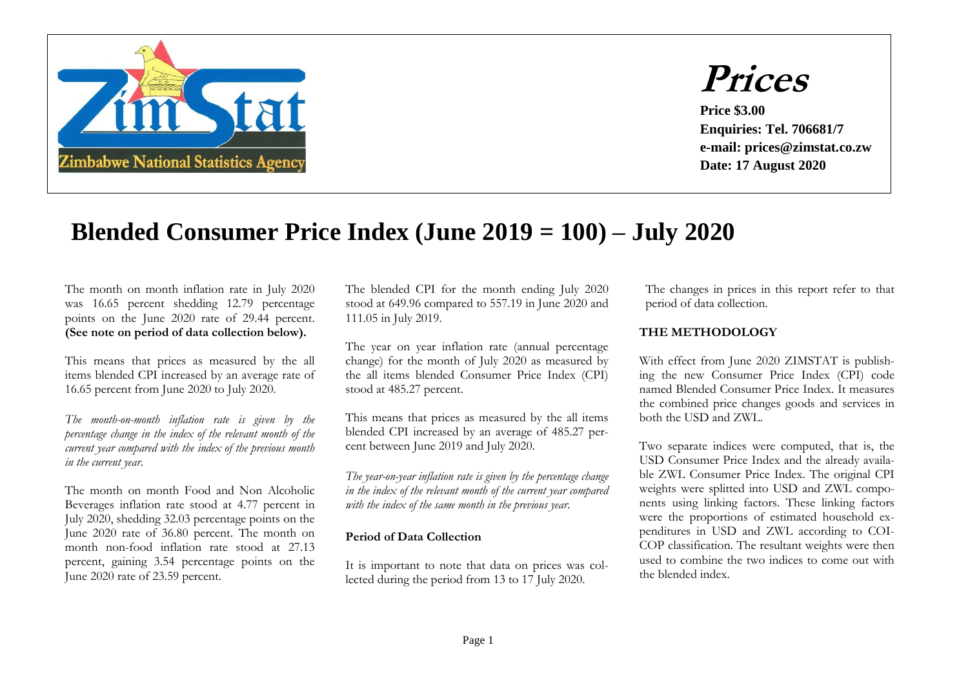



**Price \$3.00 Enquiries: Tel. 706681/7 e-mail: prices@zimstat.co.zw Date: 17 August 2020**

## **Blended Consumer Price Index (June 2019 = 100) – July 2020**

The month on month inflation rate in July 2020 was 16.65 percent shedding 12.79 percentage points on the June 2020 rate of 29.44 percent. **(See note on period of data collection below).**

This means that prices as measured by the all items blended CPI increased by an average rate of 16.65 percent from June 2020 to July 2020.

 *The month-on-month inflation rate is given by the percentage change in the index of the relevant month of the current year compared with the index of the previous month in the current year.*

The month on month Food and Non Alcoholic Beverages inflation rate stood at 4.77 percent in July 2020, shedding 32.03 percentage points on the June 2020 rate of 36.80 percent. The month on month non-food inflation rate stood at 27.13 percent, gaining 3.54 percentage points on the June 2020 rate of 23.59 percent.

The blended CPI for the month ending July 2020 stood at 649.96 compared to 557.19 in June 2020 and 111.05 in July 2019.

The year on year inflation rate (annual percentage change) for the month of July 2020 as measured by the all items blended Consumer Price Index (CPI) stood at 485.27 percent.

This means that prices as measured by the all items blended CPI increased by an average of 485.27 percent between June 2019 and July 2020.

 *The year-on-year inflation rate is given by the percentage change in the index of the relevant month of the current year compared with the index of the same month in the previous year.* 

## **Period of Data Collection**

It is important to note that data on prices was collected during the period from 13 to 17 July 2020.

The changes in prices in this report refer to that period of data collection.

## **THE METHODOLOGY**

With effect from June 2020 ZIMSTAT is publishing the new Consumer Price Index (CPI) code named Blended Consumer Price Index. It measures the combined price changes goods and services in both the USD and ZWL.

Two separate indices were computed, that is, the USD Consumer Price Index and the already available ZWL Consumer Price Index. The original CPI weights were splitted into USD and ZWL components using linking factors. These linking factors were the proportions of estimated household expenditures in USD and ZWL according to COI-COP classification. The resultant weights were then used to combine the two indices to come out with the blended index.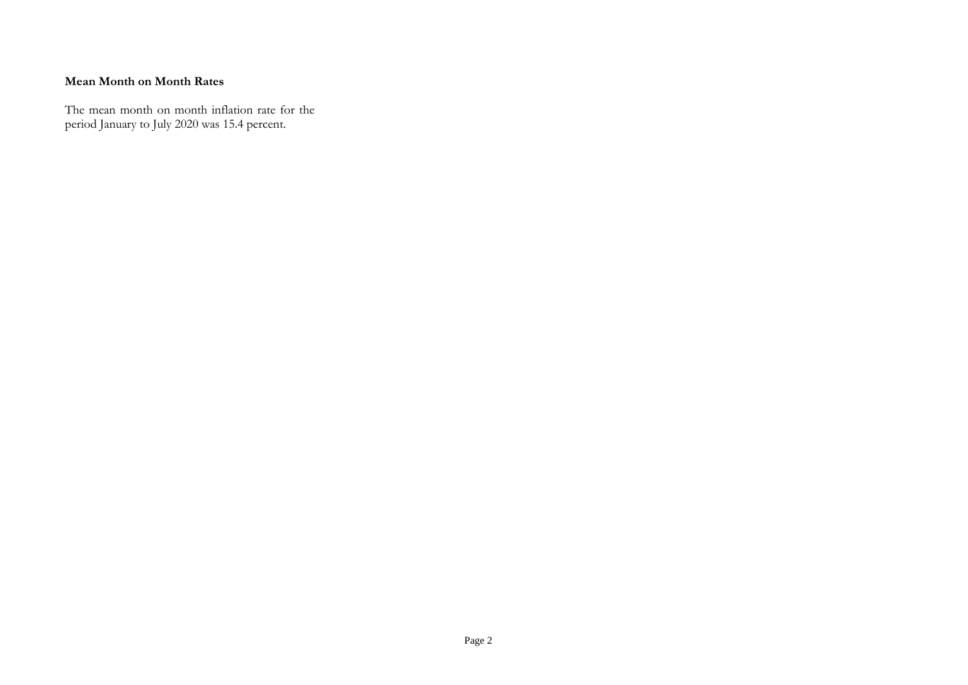## **Mean Month on Month Rates**

The mean month on month inflation rate for the period January to July 2020 was 15.4 percent.